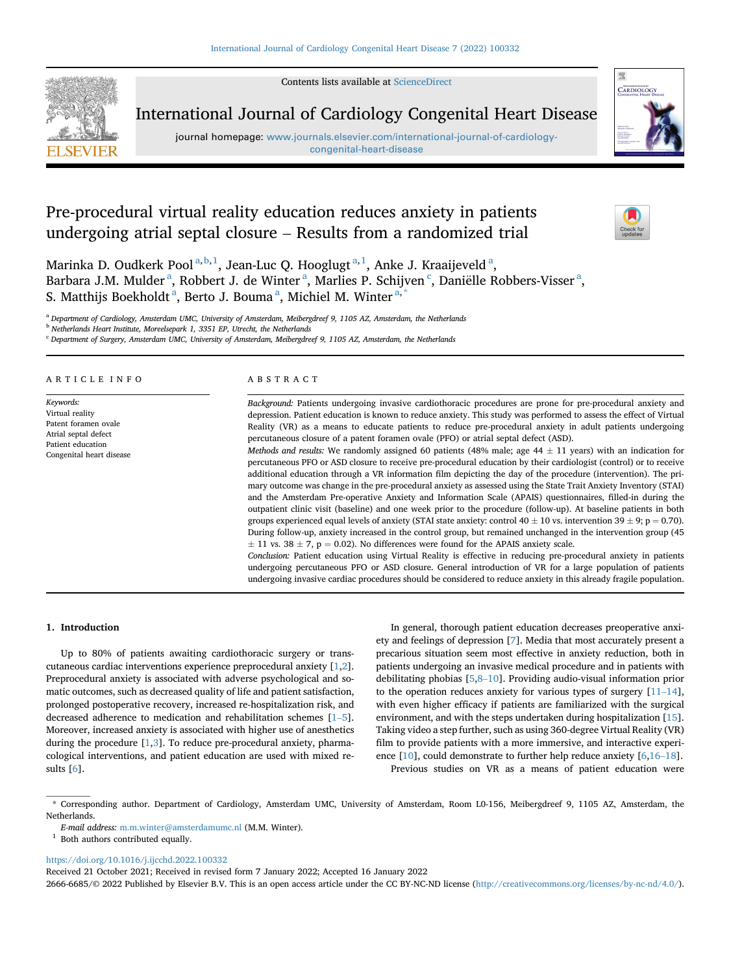

Contents lists available at [ScienceDirect](www.sciencedirect.com/science/journal/26666685)

# International Journal of Cardiology Congenital Heart Disease

journal homepage: [www.journals.elsevier.com/international-journal-of-cardiology](www.journals.elsevier.com/international-journal-of-cardiology-congenital-heart-disease)[congenital-heart-disease](www.journals.elsevier.com/international-journal-of-cardiology-congenital-heart-disease)



# Pre-procedural virtual reality education reduces anxiety in patients undergoing atrial septal closure – Results from a randomized trial



M[a](#page-0-0)rinka D. Oudkerk Pool $^{\mathrm{a,b,1}}$  $^{\mathrm{a,b,1}}$  $^{\mathrm{a,b,1}}$  $^{\mathrm{a,b,1}}$ , Jean-Luc Q. Hooglugt $^{\mathrm{a,1}}$ , Anke J. Kraaijeveld $^{\mathrm{a}},$ B[a](#page-0-0)rbara J.M. Mulder<sup>a</sup>, Robbert J. de Winter<sup>a</sup>, Marlies P. S[c](#page-0-3)hijven<sup>c</sup>, Daniëlle Robbers-Visser<sup>a</sup>, S. M[a](#page-0-0)tthijs Boekholdt <sup>a</sup>, Berto J. Bouma <sup>a</sup>, Michiel M. Winter <sup>[a,](#page-0-0) [\\*](#page-0-4)</sup>

<span id="page-0-0"></span><sup>a</sup> Department of Cardiology, Amsterdam UMC, University of Amsterdam, Meibergdreef 9, 1105 AZ, Amsterdam, the Netherlands

<span id="page-0-1"></span>**b** Netherlands Heart Institute, Moreelsepark 1, 3351 EP, Utrecht, the Netherlands

<span id="page-0-3"></span><sup>c</sup> Department of Surgery, Amsterdam UMC, University of Amsterdam, Meibergdreef 9, 1105 AZ, Amsterdam, the Netherlands

# ARTICLE INFO

Keywords: Virtual reality Patent foramen ovale Atrial septal defect Patient education Congenital heart disease

# ABSTRACT

Background: Patients undergoing invasive cardiothoracic procedures are prone for pre-procedural anxiety and depression. Patient education is known to reduce anxiety. This study was performed to assess the effect of Virtual Reality (VR) as a means to educate patients to reduce pre-procedural anxiety in adult patients undergoing percutaneous closure of a patent foramen ovale (PFO) or atrial septal defect (ASD).

Methods and results: We randomly assigned 60 patients (48% male; age  $44 \pm 11$  years) with an indication for percutaneous PFO or ASD closure to receive pre-procedural education by their cardiologist (control) or to receive additional education through a VR information film depicting the day of the procedure (intervention). The primary outcome was change in the pre-procedural anxiety as assessed using the State Trait Anxiety Inventory (STAI) and the Amsterdam Pre-operative Anxiety and Information Scale (APAIS) questionnaires, filled-in during the outpatient clinic visit (baseline) and one week prior to the procedure (follow-up). At baseline patients in both groups experienced equal levels of anxiety (STAI state anxiety: control 40  $\pm$  10 vs. intervention 39  $\pm$  9; p = 0.70). During follow-up, anxiety increased in the control group, but remained unchanged in the intervention group (45  $\pm$  11 vs. 38  $\pm$  7, p = 0.02). No differences were found for the APAIS anxiety scale.

Conclusion: Patient education using Virtual Reality is effective in reducing pre-procedural anxiety in patients undergoing percutaneous PFO or ASD closure. General introduction of VR for a large population of patients undergoing invasive cardiac procedures should be considered to reduce anxiety in this already fragile population.

# 1. Introduction

Up to 80% of patients awaiting cardiothoracic surgery or transcutaneous cardiac interventions experience preprocedural anxiety [\[1,](#page-5-0)[2](#page-5-1)]. Preprocedural anxiety is associated with adverse psychological and somatic outcomes, such as decreased quality of life and patient satisfaction, prolonged postoperative recovery, increased re-hospitalization risk, and Preprocedural anxiety is associated with adverse psychological and somatic outcomes, such as decreased quality of life and patient satisfaction, prolonged postoperative recovery, increased re-hospitalization risk, and decr Moreover, increased anxiety is associated with higher use of anesthetics during the procedure  $[1,3]$  $[1,3]$  $[1,3]$ . To reduce pre-procedural anxiety, pharmacological interventions, and patient education are used with mixed results [\[6](#page-5-3)].

In general, thorough patient education decreases preoperative anxiety and feelings of depression [\[7\]](#page-5-4). Media that most accurately present a precarious situation seem most effective in anxiety reduction, both in patients undergoing an invasive medical procedure and in patients with ety and feelings of depression [7]. Media that most accurately present a precarious situation seem most effective in anxiety reduction, both in patients undergoing an invasive medical procedure and in patients with debilit precarious situation seem most effective in anxiety reduction, both in<br>patients undergoing an invasive medical procedure and in patients with<br>debilitating phobias [5,8–10]. Providing audio-visual information prior<br>to the o with even higher efficacy if patients are familiarized with the surgical environment, and with the steps undertaken during hospitalization [\[15](#page-5-8)]. Taking video a step further, such as using 3[6](#page-5-3)0-degree Virtual Reality (VR) film to provide patients with a more immersive, and interactive experience Taking video a step further, such as using 360-degree Virtual Reality (VR) film to provide patients with a more immersive, and interactive experi-Previous studies on VR as a means of patient education were

<span id="page-0-4"></span>\* Corresponding author. Department of Cardiology, Amsterdam UMC, University of Amsterdam, Room L0-156, Meibergdreef 9, 1105 AZ, Amsterdam, the Netherlands.

<span id="page-0-2"></span> $^{\rm 1}$  Both authors contributed equally.

<https://doi.org/10.1016/j.ijcchd.2022.100332>

Received 21 October 2021; Received in revised form 7 January 2022; Accepted 16 January 2022

2666-6685/© 2022 Published by Elsevier B.V. This is an open access article under the CC BY-NC-ND license (<http://creativecommons.org/licenses/by-nc-nd/4.0/>).

E-mail address: m.m.winter@amsterdamumc.nl (M.M. Winter).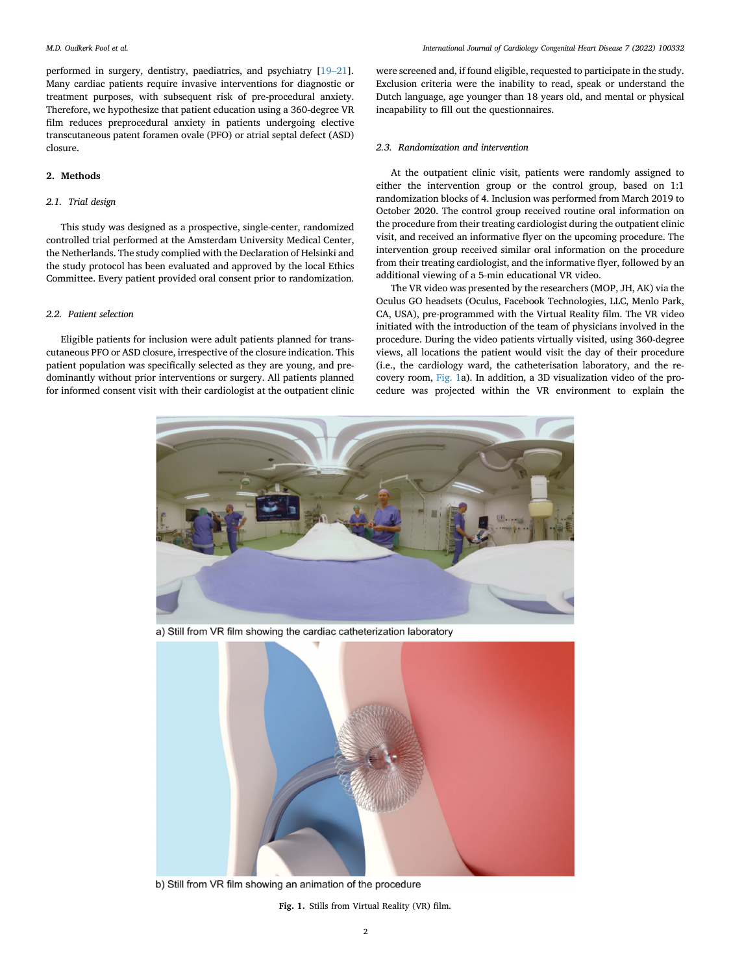m.D. Oudkerk Pool et al.<br>performed in surgery, dentistry, paediatrics, and psychiatry [\[19](#page-5-11)–[21](#page-5-11)]. Many cardiac patients require invasive interventions for diagnostic or treatment purposes, with subsequent risk of pre-procedural anxiety. Therefore, we hypothesize that patient education using a 360-degree VR film reduces preprocedural anxiety in patients undergoing elective transcutaneous patent foramen ovale (PFO) or atrial septal defect (ASD) closure.

# 2. Methods

# 2.1. Trial design

This study was designed as a prospective, single-center, randomized controlled trial performed at the Amsterdam University Medical Center, the Netherlands. The study complied with the Declaration of Helsinki and the study protocol has been evaluated and approved by the local Ethics Committee. Every patient provided oral consent prior to randomization.

#### 2.2. Patient selection

<span id="page-1-0"></span>Eligible patients for inclusion were adult patients planned for transcutaneous PFO or ASD closure, irrespective of the closure indication. This patient population was specifically selected as they are young, and predominantly without prior interventions or surgery. All patients planned for informed consent visit with their cardiologist at the outpatient clinic

were screened and, if found eligible, requested to participate in the study. Exclusion criteria were the inability to read, speak or understand the Dutch language, age younger than 18 years old, and mental or physical incapability to fill out the questionnaires.

#### 2.3. Randomization and intervention

At the outpatient clinic visit, patients were randomly assigned to either the intervention group or the control group, based on 1:1 randomization blocks of 4. Inclusion was performed from March 2019 to October 2020. The control group received routine oral information on the procedure from their treating cardiologist during the outpatient clinic visit, and received an informative flyer on the upcoming procedure. The intervention group received similar oral information on the procedure from their treating cardiologist, and the informative flyer, followed by an additional viewing of a 5-min educational VR video.

The VR video was presented by the researchers (MOP, JH, AK) via the Oculus GO headsets (Oculus, Facebook Technologies, LLC, Menlo Park, CA, USA), pre-programmed with the Virtual Reality film. The VR video initiated with the introduction of the team of physicians involved in the procedure. During the video patients virtually visited, using 360-degree views, all locations the patient would visit the day of their procedure (i.e., the cardiology ward, the catheterisation laboratory, and the recovery room, [Fig. 1a](#page-1-0)). In addition, a 3D visualization video of the procedure was projected within the VR environment to explain the



a) Still from VR film showing the cardiac catheterization laboratory



b) Still from VR film showing an animation of the procedure

Fig. 1. Stills from Virtual Reality (VR) film.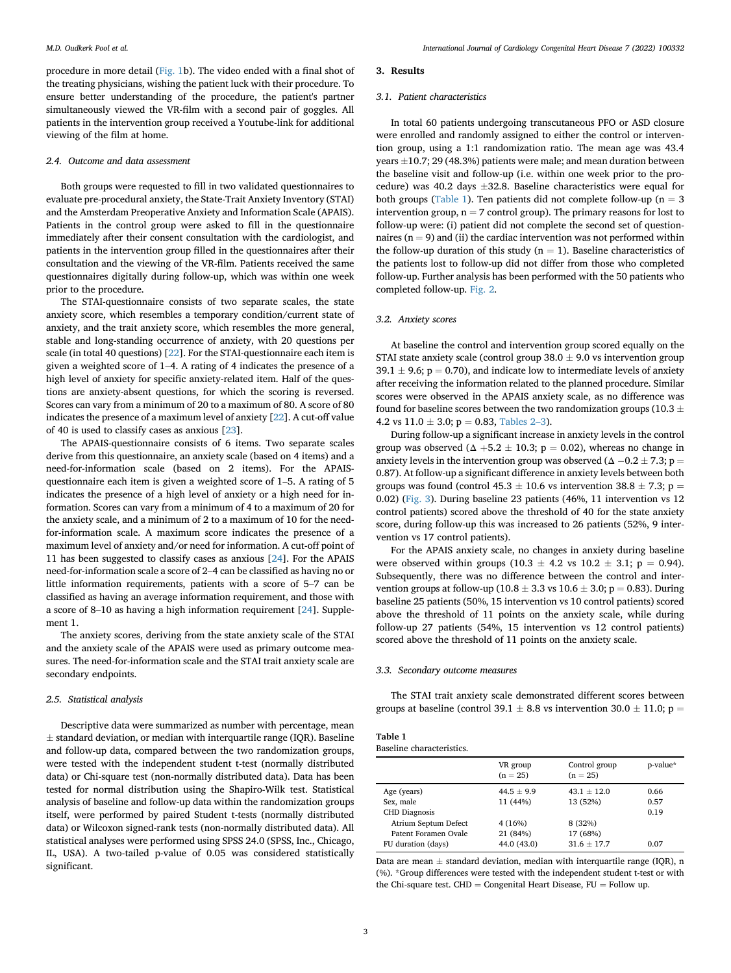procedure in more detail ([Fig. 1b](#page-1-0)). The video ended with a final shot of the treating physicians, wishing the patient luck with their procedure. To ensure better understanding of the procedure, the patient's partner simultaneously viewed the VR-film with a second pair of goggles. All patients in the intervention group received a Youtube-link for additional viewing of the film at home.

#### 2.4. Outcome and data assessment

Both groups were requested to fill in two validated questionnaires to evaluate pre-procedural anxiety, the State-Trait Anxiety Inventory (STAI) and the Amsterdam Preoperative Anxiety and Information Scale (APAIS). Patients in the control group were asked to fill in the questionnaire immediately after their consent consultation with the cardiologist, and patients in the intervention group filled in the questionnaires after their consultation and the viewing of the VR-film. Patients received the same questionnaires digitally during follow-up, which was within one week prior to the procedure.

The STAI-questionnaire consists of two separate scales, the state anxiety score, which resembles a temporary condition/current state of anxiety, and the trait anxiety score, which resembles the more general, stable and long-standing occurrence of anxiety, with 20 questions per scale (in total 40 questions) [\[22](#page-5-12)]. For the STAI-questionnaire each item is anxiety, and the trait anxiety score, which resembles the more general, stable and long-standing occurrence of anxiety, with 20 questions per scale (in total 40 questions) [22]. For the STAI-questionnaire each item is give high level of anxiety for specific anxiety-related item. Half of the questions are anxiety-absent questions, for which the scoring is reversed. Scores can vary from a minimum of 20 to a maximum of 80. A score of 80 indicates the presence of a maximum level of anxiety [[22\]](#page-5-12). A cut-off value of 40 is used to classify cases as anxious [[23\]](#page-5-13).

The APAIS-questionnaire consists of 6 items. Two separate scales derive from this questionnaire, an anxiety scale (based on 4 items) and a need-for-information scale (based on 2 items). For the APAISquestionnaire each item is given a weighted score of 1–5. A rating of 5 indicates the presence of a high level of anxiety or a high need for information. Scores can vary from a minimum of 4 to a maximum of 20 for the anxiety scale, and a minimum of 2 to a maximum of 10 for the needfor-information scale. A maximum score indicates the presence of a maximum level of anxiety and/or need for information. A cut-off point of 11 has been suggested to classify cases as anxious [\[24](#page-5-14)]. For the APAIS for-information scale. A maximum score indicates the presence of a maximum level of anxiety and/or need for information. A cut-off point of 11 has been suggested to classify cases as anxious [24]. For the APAIS need-for-in maximum level of anxiety and/or need for information. A cut-off point of 11 has been suggested to classify cases as anxious [24]. For the APAIS need-for-information scale a score of 2–4 can be classified as having no or li classified as having an average information requirement, and those with need-for-information scale a score of 2–4 can be classified as having no or little information requirements, patients with a score of 5–7 can be classified as having an average information requirement, and those with a sc ment 1.

The anxiety scores, deriving from the state anxiety scale of the STAI and the anxiety scale of the APAIS were used as primary outcome measures. The need-for-information scale and the STAI trait anxiety scale are secondary endpoints.

#### 2.5. Statistical analysis

Descriptive data were summarized as number with percentage, mean  $\pm$  standard deviation, or median with interquartile range (IQR). Baseline and follow-up data, compared between the two randomization groups, were tested with the independent student t-test (normally distributed data) or Chi-square test (non-normally distributed data). Data has been tested for normal distribution using the Shapiro-Wilk test. Statistical analysis of baseline and follow-up data within the randomization groups itself, were performed by paired Student t-tests (normally distributed data) or Wilcoxon signed-rank tests (non-normally distributed data). All statistical analyses were performed using SPSS 24.0 (SPSS, Inc., Chicago, IL, USA). A two-tailed p-value of 0.05 was considered statistically significant.

#### 3. Results

#### 3.1. Patient characteristics

In total 60 patients undergoing transcutaneous PFO or ASD closure were enrolled and randomly assigned to either the control or intervention group, using a 1:1 randomization ratio. The mean age was 43.4 years  $\pm 10.7$ ; 29 (48.3%) patients were male; and mean duration between the baseline visit and follow-up (i.e. within one week prior to the procedure) was 40.2 days  $\pm 32.8$ . Baseline characteristics were equal for both groups ([Table 1](#page-2-0)). Ten patients did not complete follow-up ( $n = 3$ ) intervention group,  $n = 7$  control group). The primary reasons for lost to follow-up were: (i) patient did not complete the second set of questionnaires ( $n = 9$ ) and (ii) the cardiac intervention was not performed within the follow-up duration of this study ( $n = 1$ ). Baseline characteristics of the patients lost to follow-up did not differ from those who completed follow-up. Further analysis has been performed with the 50 patients who completed follow-up. [Fig. 2.](#page-3-0)

#### 3.2. Anxiety scores

At baseline the control and intervention group scored equally on the STAI state anxiety scale (control group  $38.0 \pm 9.0$  vs intervention group 39.1  $\pm$  9.6; p = 0.70), and indicate low to intermediate levels of anxiety after receiving the information related to the planned procedure. Similar scores were observed in the APAIS anxiety scale, as no difference was found for baseline scores between the two randomization groups (10.3  $\pm$ 4.2 vs  $11.0 \pm 3.0$  $11.0 \pm 3.0$  $11.0 \pm 3.0$ ; p = 0.83, [Tables 2](#page-3-1)–3).

During follow-up a significant increase in anxiety levels in the control group was observed ( $\Delta +5.2 \pm 10.3$ ; p = 0.02), whereas no change in anxiety levels in the intervention group was observed ( $\Delta -0.2 \pm 7.3$ ; p = 0.87). At follow-up a significant difference in anxiety levels between both groups was found (control 45.3  $\pm$  10.6 vs intervention 38.8  $\pm$  7.3; p = 0.02) ([Fig. 3\)](#page-4-0). During baseline 23 patients (46%, 11 intervention vs 12 control patients) scored above the threshold of 40 for the state anxiety score, during follow-up this was increased to 26 patients (52%, 9 intervention vs 17 control patients).

For the APAIS anxiety scale, no changes in anxiety during baseline were observed within groups  $(10.3 \pm 4.2 \text{ vs } 10.2 \pm 3.1; \text{ p} = 0.94)$ . Subsequently, there was no difference between the control and intervention groups at follow-up (10.8  $\pm$  3.3 vs 10.6  $\pm$  3.0; p = 0.83). During baseline 25 patients (50%, 15 intervention vs 10 control patients) scored above the threshold of 11 points on the anxiety scale, while during follow-up 27 patients (54%, 15 intervention vs 12 control patients) scored above the threshold of 11 points on the anxiety scale.

#### 3.3. Secondary outcome measures

The STAI trait anxiety scale demonstrated different scores between groups at baseline (control 39.1  $\pm$  8.8 vs intervention 30.0  $\pm$  11.0; p =

<span id="page-2-0"></span>

| Table 1                   |  |
|---------------------------|--|
| Baseline characteristics. |  |

|                      | VR group<br>$(n = 25)$ | Control group<br>$(n = 25)$ | p-value* |
|----------------------|------------------------|-----------------------------|----------|
| Age (years)          | $44.5 \pm 9.9$         | $43.1 \pm 12.0$             | 0.66     |
| Sex, male            | 11 (44%)               | 13 (52%)                    | 0.57     |
| <b>CHD Diagnosis</b> |                        |                             | 0.19     |
| Atrium Septum Defect | 4(16%)                 | 8(32%)                      |          |
| Patent Foramen Ovale | 21 (84%)               | 17 (68%)                    |          |
| FU duration (days)   | 44.0 (43.0)            | $31.6 \pm 17.7$             | 0.07     |
|                      |                        |                             |          |

Data are mean  $\pm$  standard deviation, median with interquartile range (IQR), n (%). \*Group differences were tested with the independent student t-test or with the Chi-square test. CHD = Congenital Heart Disease,  $FU = Follow$  up.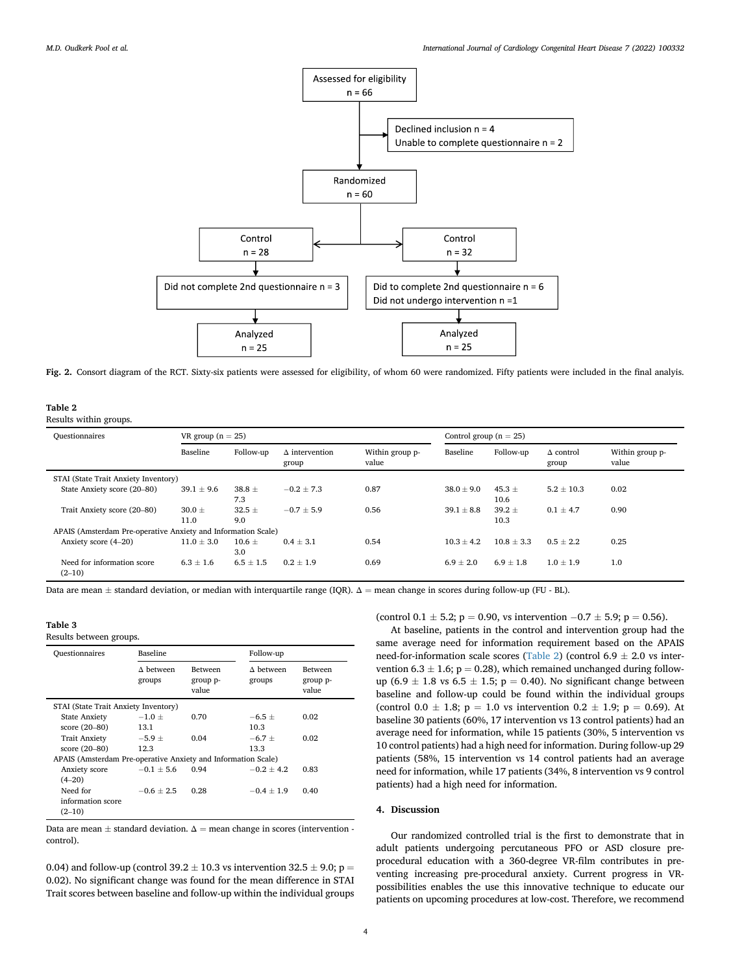<span id="page-3-0"></span>

Fig. 2. Consort diagram of the RCT. Sixty-six patients were assessed for eligibility, of whom 60 were randomized. Fifty patients were included in the final analyis.

<span id="page-3-1"></span>Table 2

Results within groups.

| Ouestionnaires                                                | VR group $(n = 25)$ |                   |                                | Control group $(n = 25)$ |                |                    |                           |                          |
|---------------------------------------------------------------|---------------------|-------------------|--------------------------------|--------------------------|----------------|--------------------|---------------------------|--------------------------|
|                                                               | Baseline            | Follow-up         | $\Delta$ intervention<br>group | Within group p-<br>value | Baseline       | Follow-up          | $\Delta$ control<br>group | Within group p-<br>value |
| STAI (State Trait Anxiety Inventory)                          |                     |                   |                                |                          |                |                    |                           |                          |
| State Anxiety score (20-80)                                   | $39.1 \pm 9.6$      | $38.8 \pm$<br>7.3 | $-0.2 \pm 7.3$                 | 0.87                     | $38.0 \pm 9.0$ | 45.3 $\pm$<br>10.6 | $5.2 \pm 10.3$            | 0.02                     |
| Trait Anxiety score (20-80)                                   | $30.0 \pm$<br>11.0  | $32.5 +$<br>9.0   | $-0.7 + 5.9$                   | 0.56                     | $39.1 + 8.8$   | $39.2 +$<br>10.3   | $0.1 + 4.7$               | 0.90                     |
| APAIS (Amsterdam Pre-operative Anxiety and Information Scale) |                     |                   |                                |                          |                |                    |                           |                          |
| Anxiety score (4-20)                                          | $11.0 \pm 3.0$      | $10.6 \pm$<br>3.0 | $0.4 \pm 3.1$                  | 0.54                     | $10.3 + 4.2$   | $10.8 + 3.3$       | $0.5 \pm 2.2$             | 0.25                     |
| Need for information score<br>$(2-10)$                        | $6.3 + 1.6$         | $6.5 \pm 1.5$     | $0.2 + 1.9$                    | 0.69                     | $6.9 + 2.0$    | $6.9 + 1.8$        | $1.0 + 1.9$               | 1.0                      |

Data are mean  $\pm$  standard deviation, or median with interquartile range (IQR).  $\Delta$  = mean change in scores during follow-up (FU - BL).

# Table 3

Results between groups.

| <b>Questionnaires</b>                                         | <b>Baseline</b>            |                                     | Follow-up                  |                                     |  |  |  |
|---------------------------------------------------------------|----------------------------|-------------------------------------|----------------------------|-------------------------------------|--|--|--|
|                                                               | $\Delta$ between<br>groups | <b>Between</b><br>group p-<br>value | $\Delta$ between<br>groups | <b>Between</b><br>group p-<br>value |  |  |  |
| STAI (State Trait Anxiety Inventory)                          |                            |                                     |                            |                                     |  |  |  |
| <b>State Anxiety</b>                                          | $-1.0 \pm$                 | 0.70                                | $-6.5+$                    | 0.02                                |  |  |  |
| score (20-80)                                                 | 13.1                       |                                     | 10.3                       |                                     |  |  |  |
| <b>Trait Anxiety</b>                                          | $-5.9+$                    | 0.04                                | $-6.7 +$                   | 0.02                                |  |  |  |
| score $(20-80)$                                               | 12.3                       |                                     | 13.3                       |                                     |  |  |  |
| APAIS (Amsterdam Pre-operative Anxiety and Information Scale) |                            |                                     |                            |                                     |  |  |  |
| Anxiety score                                                 | $-0.1 \pm 5.6$             | 0.94                                | $-0.2 + 4.2$               | 0.83                                |  |  |  |
| $(4-20)$                                                      |                            |                                     |                            |                                     |  |  |  |
| Need for                                                      | $-0.6 + 2.5$               | 0.28                                | $-0.4 + 1.9$               | 0.40                                |  |  |  |
| information score                                             |                            |                                     |                            |                                     |  |  |  |
| $(2-10)$                                                      |                            |                                     |                            |                                     |  |  |  |

Data are mean  $\pm$  standard deviation.  $\Delta$  = mean change in scores (intervention control).

0.04) and follow-up (control 39.2  $\pm$  10.3 vs intervention 32.5  $\pm$  9.0; p = 0.02). No significant change was found for the mean difference in STAI Trait scores between baseline and follow-up within the individual groups

(control  $0.1 \pm 5.2$ ; p = 0.90, vs intervention  $-0.7 \pm 5.9$ ; p = 0.56).

At baseline, patients in the control and intervention group had the same average need for information requirement based on the APAIS need-for-information scale scores [\(Table 2\)](#page-3-1) (control 6.9  $\pm$  2.0 vs intervention 6.3  $\pm$  1.6; p = 0.28), which remained unchanged during followup (6.9  $\pm$  1.8 vs 6.5  $\pm$  1.5; p = 0.40). No significant change between baseline and follow-up could be found within the individual groups (control 0.0  $\pm$  1.8; p = 1.0 vs intervention 0.2  $\pm$  1.9; p = 0.69). At baseline 30 patients (60%, 17 intervention vs 13 control patients) had an average need for information, while 15 patients (30%, 5 intervention vs 10 control patients) had a high need for information. During follow-up 29 patients (58%, 15 intervention vs 14 control patients had an average need for information, while 17 patients (34%, 8 intervention vs 9 control patients) had a high need for information.

#### 4. Discussion

Our randomized controlled trial is the first to demonstrate that in adult patients undergoing percutaneous PFO or ASD closure preprocedural education with a 360-degree VR-film contributes in preventing increasing pre-procedural anxiety. Current progress in VRpossibilities enables the use this innovative technique to educate our patients on upcoming procedures at low-cost. Therefore, we recommend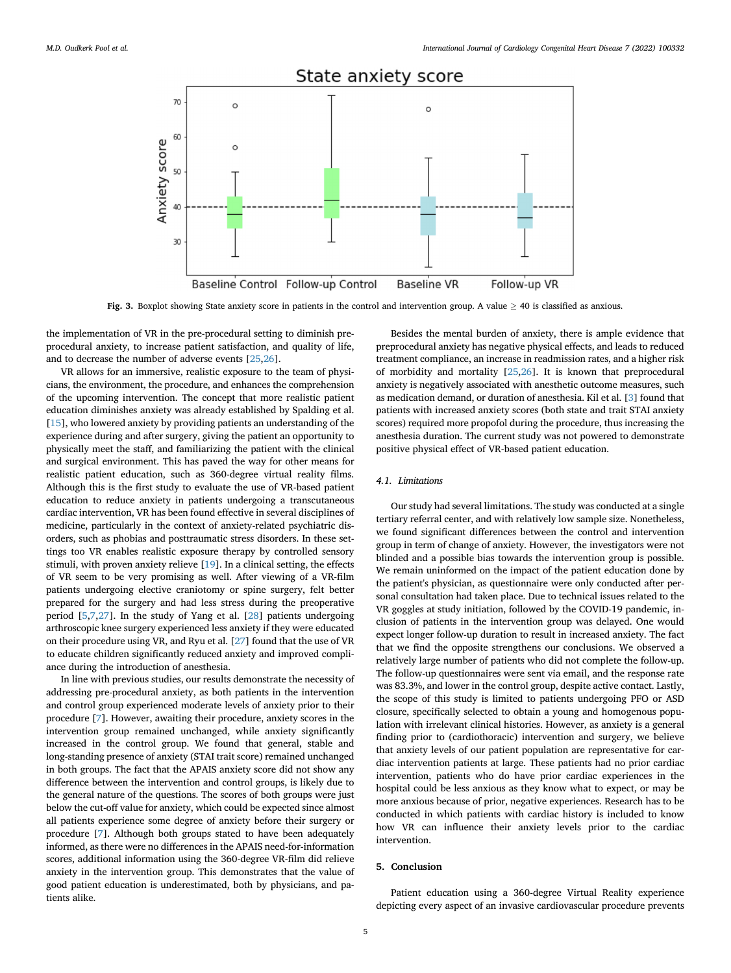<span id="page-4-0"></span>

Fig. 3. Boxplot showing State anxiety score in patients in the control and intervention group. A value  $\geq$  40 is classified as anxious.

the implementation of VR in the pre-procedural setting to diminish preprocedural anxiety, to increase patient satisfaction, and quality of life, and to decrease the number of adverse events [[25,](#page-5-15)[26\]](#page-5-16).

VR allows for an immersive, realistic exposure to the team of physicians, the environment, the procedure, and enhances the comprehension of the upcoming intervention. The concept that more realistic patient education diminishes anxiety was already established by Spalding et al. [[15\]](#page-5-8), who lowered anxiety by providing patients an understanding of the experience during and after surgery, giving the patient an opportunity to physically meet the staff, and familiarizing the patient with the clinical and surgical environment. This has paved the way for other means for realistic patient education, such as 360-degree virtual reality films. Although this is the first study to evaluate the use of VR-based patient education to reduce anxiety in patients undergoing a transcutaneous cardiac intervention, VR has been found effective in several disciplines of medicine, particularly in the context of anxiety-related psychiatric disorders, such as phobias and posttraumatic stress disorders. In these settings too VR enables realistic exposure therapy by controlled sensory stimuli, with proven anxiety relieve [[19\]](#page-5-11). In a clinical setting, the effects of VR seem to be very promising as well. After viewing of a VR-film patients undergoing elective craniotomy or spine surgery, felt better prepared for the surgery and had less stress during the preoperative period [[5](#page-5-5),[7](#page-5-4)[,27](#page-5-17)]. In the study of Yang et al. [\[28](#page-5-18)] patients undergoing arthroscopic knee surgery experienced less anxiety if they were educated on their procedure using VR, and Ryu et al. [\[27](#page-5-17)] found that the use of VR to educate children significantly reduced anxiety and improved compliance during the introduction of anesthesia.

In line with previous studies, our results demonstrate the necessity of addressing pre-procedural anxiety, as both patients in the intervention and control group experienced moderate levels of anxiety prior to their procedure [\[7\]](#page-5-4). However, awaiting their procedure, anxiety scores in the intervention group remained unchanged, while anxiety significantly increased in the control group. We found that general, stable and long-standing presence of anxiety (STAI trait score) remained unchanged in both groups. The fact that the APAIS anxiety score did not show any difference between the intervention and control groups, is likely due to the general nature of the questions. The scores of both groups were just below the cut-off value for anxiety, which could be expected since almost all patients experience some degree of anxiety before their surgery or procedure [[7](#page-5-4)]. Although both groups stated to have been adequately informed, as there were no differences in the APAIS need-for-information scores, additional information using the 360-degree VR-film did relieve anxiety in the intervention group. This demonstrates that the value of good patient education is underestimated, both by physicians, and patients alike.

Besides the mental burden of anxiety, there is ample evidence that preprocedural anxiety has negative physical effects, and leads to reduced treatment compliance, an increase in readmission rates, and a higher risk of morbidity and mortality [[25](#page-5-15),[26\]](#page-5-16). It is known that preprocedural anxiety is negatively associated with anesthetic outcome measures, such as medication demand, or duration of anesthesia. Kil et al. [\[3](#page-5-2)] found that patients with increased anxiety scores (both state and trait STAI anxiety scores) required more propofol during the procedure, thus increasing the anesthesia duration. The current study was not powered to demonstrate positive physical effect of VR-based patient education.

## 4.1. Limitations

Our study had several limitations. The study was conducted at a single tertiary referral center, and with relatively low sample size. Nonetheless, we found significant differences between the control and intervention group in term of change of anxiety. However, the investigators were not blinded and a possible bias towards the intervention group is possible. We remain uninformed on the impact of the patient education done by the patient's physician, as questionnaire were only conducted after personal consultation had taken place. Due to technical issues related to the VR goggles at study initiation, followed by the COVID-19 pandemic, inclusion of patients in the intervention group was delayed. One would expect longer follow-up duration to result in increased anxiety. The fact that we find the opposite strengthens our conclusions. We observed a relatively large number of patients who did not complete the follow-up. The follow-up questionnaires were sent via email, and the response rate was 83.3%, and lower in the control group, despite active contact. Lastly, the scope of this study is limited to patients undergoing PFO or ASD closure, specifically selected to obtain a young and homogenous population with irrelevant clinical histories. However, as anxiety is a general finding prior to (cardiothoracic) intervention and surgery, we believe that anxiety levels of our patient population are representative for cardiac intervention patients at large. These patients had no prior cardiac intervention, patients who do have prior cardiac experiences in the hospital could be less anxious as they know what to expect, or may be more anxious because of prior, negative experiences. Research has to be conducted in which patients with cardiac history is included to know how VR can influence their anxiety levels prior to the cardiac intervention.

# 5. Conclusion

Patient education using a 360-degree Virtual Reality experience depicting every aspect of an invasive cardiovascular procedure prevents